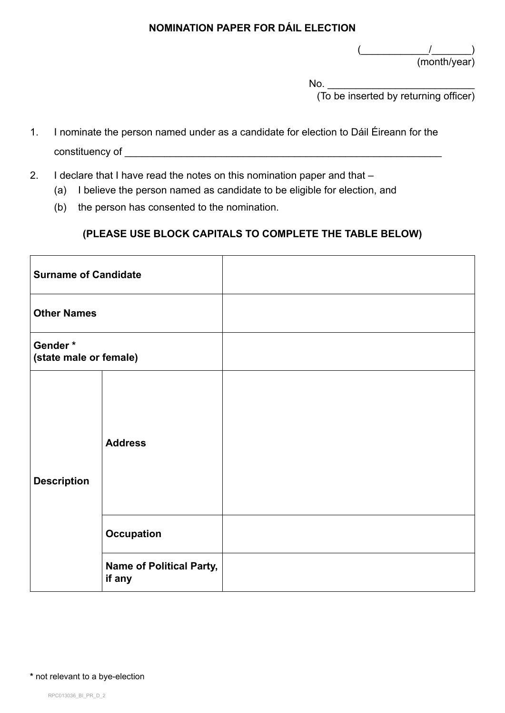$\frac{($ (month/year)

No. \_\_\_\_\_\_\_\_\_\_\_\_\_\_\_\_\_\_\_\_\_\_\_\_\_\_

(To be inserted by returning officer)

- 1. I nominate the person named under as a candidate for election to Dáil Éireann for the constituency of the constituency of the constituency of  $\mathcal{L}$
- 2. I declare that I have read the notes on this nomination paper and that -
	- (a) I believe the person named as candidate to be eligible for election, and
	- (b) the person has consented to the nomination.

### **(PLEASE USE BLOCK CAPITALS TO COMPLETE THE TABLE BELOW)**

| <b>Surname of Candidate</b>       |                                           |  |
|-----------------------------------|-------------------------------------------|--|
| <b>Other Names</b>                |                                           |  |
| Gender*<br>(state male or female) |                                           |  |
| <b>Description</b>                | <b>Address</b>                            |  |
|                                   | <b>Occupation</b>                         |  |
|                                   | <b>Name of Political Party,</b><br>if any |  |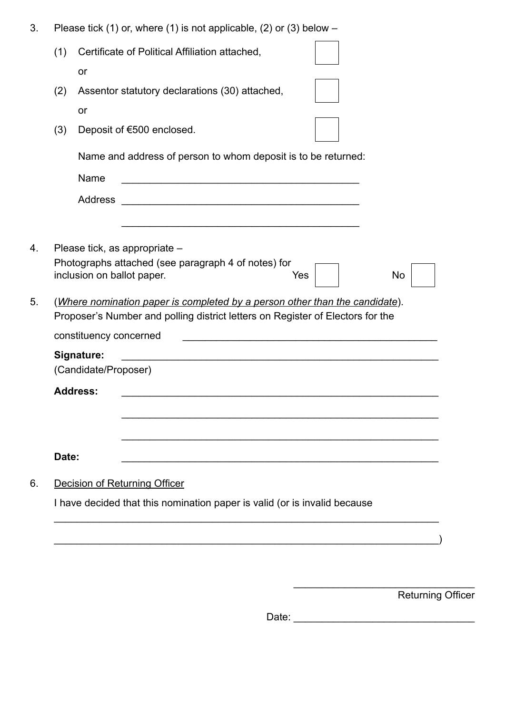| 3. |  |  |  | Please tick (1) or, where (1) is not applicable, (2) or (3) below $-$ |
|----|--|--|--|-----------------------------------------------------------------------|
|----|--|--|--|-----------------------------------------------------------------------|

| (1)   | Certificate of Political Affiliation attached,                                                                                                                                                                                |
|-------|-------------------------------------------------------------------------------------------------------------------------------------------------------------------------------------------------------------------------------|
|       | or                                                                                                                                                                                                                            |
| (2)   | Assentor statutory declarations (30) attached,                                                                                                                                                                                |
|       | or                                                                                                                                                                                                                            |
| (3)   | Deposit of €500 enclosed.                                                                                                                                                                                                     |
|       | Name and address of person to whom deposit is to be returned:                                                                                                                                                                 |
|       | Name<br><u> 1980 - Jan James James Barnett, martin de la populación de la propia de la propia de la propia de la propia d</u>                                                                                                 |
|       | <b>Address</b>                                                                                                                                                                                                                |
|       |                                                                                                                                                                                                                               |
|       | Please tick, as appropriate -<br>Photographs attached (see paragraph 4 of notes) for<br>No<br>inclusion on ballot paper.<br>Yes                                                                                               |
|       | (Where nomination paper is completed by a person other than the candidate).<br>Proposer's Number and polling district letters on Register of Electors for the<br>constituency concerned<br>Signature:<br>(Candidate/Proposer) |
|       | <b>Address:</b>                                                                                                                                                                                                               |
|       |                                                                                                                                                                                                                               |
|       |                                                                                                                                                                                                                               |
| Date: |                                                                                                                                                                                                                               |
|       |                                                                                                                                                                                                                               |
|       | Decision of Returning Officer<br>I have decided that this nomination paper is valid (or is invalid because                                                                                                                    |

Returning Officer

 $\frac{1}{2}$  ,  $\frac{1}{2}$  ,  $\frac{1}{2}$  ,  $\frac{1}{2}$  ,  $\frac{1}{2}$  ,  $\frac{1}{2}$  ,  $\frac{1}{2}$  ,  $\frac{1}{2}$  ,  $\frac{1}{2}$  ,  $\frac{1}{2}$  ,  $\frac{1}{2}$  ,  $\frac{1}{2}$  ,  $\frac{1}{2}$  ,  $\frac{1}{2}$  ,  $\frac{1}{2}$  ,  $\frac{1}{2}$  ,  $\frac{1}{2}$  ,  $\frac{1}{2}$  ,  $\frac{1$ 

| Date: |  |
|-------|--|
|       |  |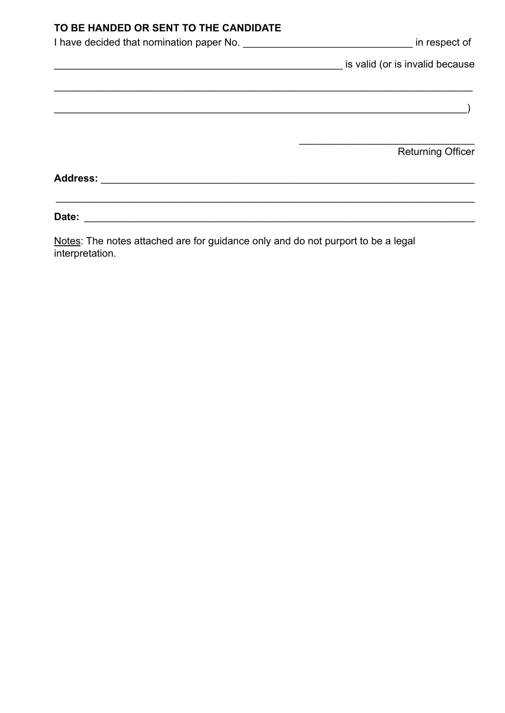### **TO BE HANDED OR SENT TO THE CANDIDATE**

|          | in respect of                   |
|----------|---------------------------------|
|          | is valid (or is invalid because |
|          |                                 |
|          |                                 |
|          |                                 |
|          | <b>Returning Officer</b>        |
| Address: |                                 |
| Date:    |                                 |

Notes: The notes attached are for guidance only and do not purport to be a legal interpretation.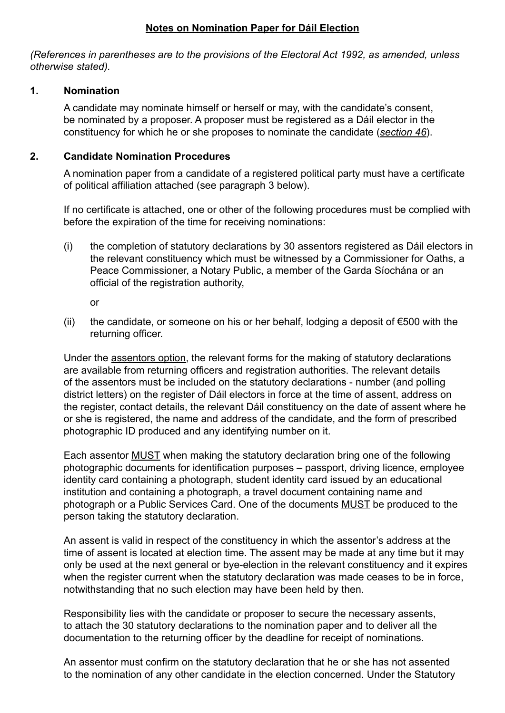#### **Notes on Nomination Paper for Dáil Election**

*(References in parentheses are to the provisions of the Electoral Act 1992, as amended, unless otherwise stated).*

#### **1. Nomination**

A candidate may nominate himself or herself or may, with the candidate's consent, be nominated by a proposer. A proposer must be registered as a Dáil elector in the constituency for which he or she proposes to nominate the candidate (*section 46*).

### **2. Candidate Nomination Procedures**

A nomination paper from a candidate of a registered political party must have a certificate of political affiliation attached (see paragraph 3 below).

If no certificate is attached, one or other of the following procedures must be complied with before the expiration of the time for receiving nominations:

(i) the completion of statutory declarations by 30 assentors registered as Dáil electors in the relevant constituency which must be witnessed by a Commissioner for Oaths, a Peace Commissioner, a Notary Public, a member of the Garda Síochána or an official of the registration authority,

or

(ii) the candidate, or someone on his or her behalf, lodging a deposit of  $\epsilon$ 500 with the returning officer.

Under the assentors option, the relevant forms for the making of statutory declarations are available from returning officers and registration authorities. The relevant details of the assentors must be included on the statutory declarations - number (and polling district letters) on the register of Dáil electors in force at the time of assent, address on the register, contact details, the relevant Dáil constituency on the date of assent where he or she is registered, the name and address of the candidate, and the form of prescribed photographic ID produced and any identifying number on it.

Each assentor MUST when making the statutory declaration bring one of the following photographic documents for identification purposes – passport, driving licence, employee identity card containing a photograph, student identity card issued by an educational institution and containing a photograph, a travel document containing name and photograph or a Public Services Card. One of the documents MUST be produced to the person taking the statutory declaration.

An assent is valid in respect of the constituency in which the assentor's address at the time of assent is located at election time. The assent may be made at any time but it may only be used at the next general or bye-election in the relevant constituency and it expires when the register current when the statutory declaration was made ceases to be in force, notwithstanding that no such election may have been held by then.

Responsibility lies with the candidate or proposer to secure the necessary assents, to attach the 30 statutory declarations to the nomination paper and to deliver all the documentation to the returning officer by the deadline for receipt of nominations.

An assentor must confirm on the statutory declaration that he or she has not assented to the nomination of any other candidate in the election concerned. Under the Statutory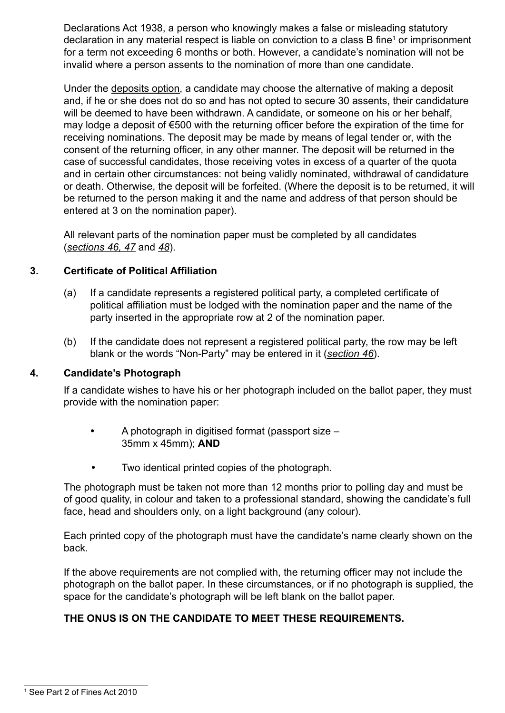Declarations Act 1938, a person who knowingly makes a false or misleading statutory declaration in any material respect is liable on conviction to a class B fine<sup>1</sup> or imprisonment for a term not exceeding 6 months or both. However, a candidate's nomination will not be invalid where a person assents to the nomination of more than one candidate.

Under the deposits option, a candidate may choose the alternative of making a deposit and, if he or she does not do so and has not opted to secure 30 assents, their candidature will be deemed to have been withdrawn. A candidate, or someone on his or her behalf, may lodge a deposit of €500 with the returning officer before the expiration of the time for receiving nominations. The deposit may be made by means of legal tender or, with the consent of the returning officer, in any other manner. The deposit will be returned in the case of successful candidates, those receiving votes in excess of a quarter of the quota and in certain other circumstances: not being validly nominated, withdrawal of candidature or death. Otherwise, the deposit will be forfeited. (Where the deposit is to be returned, it will be returned to the person making it and the name and address of that person should be entered at 3 on the nomination paper).

All relevant parts of the nomination paper must be completed by all candidates (*sections 46, 47* and *48*).

#### **3. Certificate of Political Affiliation**

- (a) If a candidate represents a registered political party, a completed certificate of political affiliation must be lodged with the nomination paper and the name of the party inserted in the appropriate row at 2 of the nomination paper.
- (b) If the candidate does not represent a registered political party, the row may be left blank or the words "Non-Party" may be entered in it (*section 46*).

#### **4. Candidate's Photograph**

If a candidate wishes to have his or her photograph included on the ballot paper, they must provide with the nomination paper:

- A photograph in digitised format (passport size 35mm x 45mm); **AND**
- Two identical printed copies of the photograph.

The photograph must be taken not more than 12 months prior to polling day and must be of good quality, in colour and taken to a professional standard, showing the candidate's full face, head and shoulders only, on a light background (any colour).

Each printed copy of the photograph must have the candidate's name clearly shown on the back.

If the above requirements are not complied with, the returning officer may not include the photograph on the ballot paper. In these circumstances, or if no photograph is supplied, the space for the candidate's photograph will be left blank on the ballot paper.

#### **THE ONUS IS ON THE CANDIDATE TO MEET THESE REQUIREMENTS.**

<sup>1</sup> See Part 2 of Fines Act 2010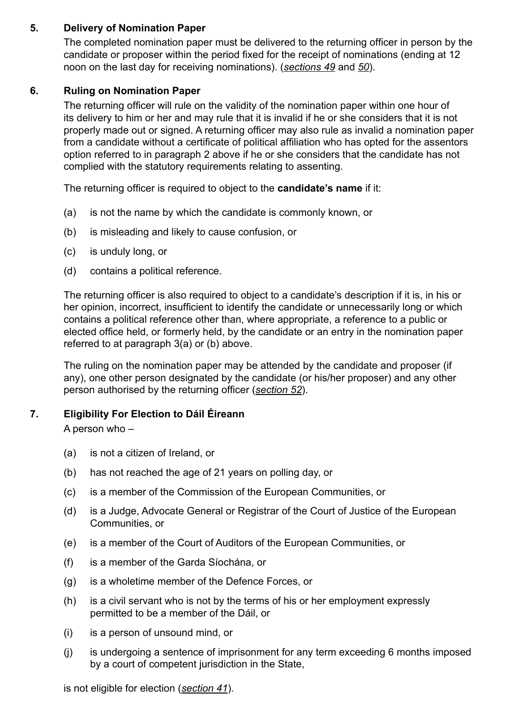### **5. Delivery of Nomination Paper**

The completed nomination paper must be delivered to the returning officer in person by the candidate or proposer within the period fixed for the receipt of nominations (ending at 12 noon on the last day for receiving nominations). (*sections 49* and *50*).

#### **6. Ruling on Nomination Paper**

The returning officer will rule on the validity of the nomination paper within one hour of its delivery to him or her and may rule that it is invalid if he or she considers that it is not properly made out or signed. A returning officer may also rule as invalid a nomination paper from a candidate without a certificate of political affiliation who has opted for the assentors option referred to in paragraph 2 above if he or she considers that the candidate has not complied with the statutory requirements relating to assenting.

The returning officer is required to object to the **candidate's name** if it:

- (a) is not the name by which the candidate is commonly known, or
- (b) is misleading and likely to cause confusion, or
- (c) is unduly long, or
- (d) contains a political reference.

The returning officer is also required to object to a candidate's description if it is, in his or her opinion, incorrect, insufficient to identify the candidate or unnecessarily long or which contains a political reference other than, where appropriate, a reference to a public or elected office held, or formerly held, by the candidate or an entry in the nomination paper referred to at paragraph 3(a) or (b) above.

The ruling on the nomination paper may be attended by the candidate and proposer (if any), one other person designated by the candidate (or his/her proposer) and any other person authorised by the returning officer (*section 52*).

#### **7. Eligibility For Election to Dáil Éireann**

A person who –

- (a) is not a citizen of Ireland, or
- (b) has not reached the age of 21 years on polling day, or
- (c) is a member of the Commission of the European Communities, or
- (d) is a Judge, Advocate General or Registrar of the Court of Justice of the European Communities, or
- (e) is a member of the Court of Auditors of the European Communities, or
- (f) is a member of the Garda Síochána, or
- (g) is a wholetime member of the Defence Forces, or
- (h) is a civil servant who is not by the terms of his or her employment expressly permitted to be a member of the Dáil, or
- (i) is a person of unsound mind, or
- (j) is undergoing a sentence of imprisonment for any term exceeding 6 months imposed by a court of competent jurisdiction in the State,

is not eligible for election (*section 41*).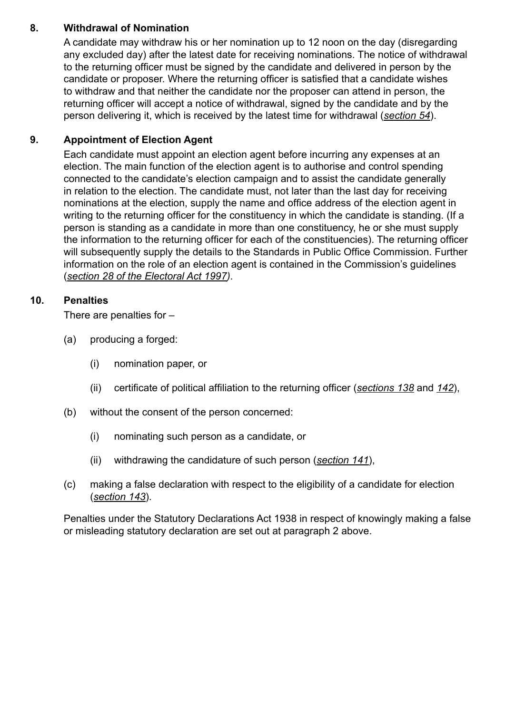### **8. Withdrawal of Nomination**

A candidate may withdraw his or her nomination up to 12 noon on the day (disregarding any excluded day) after the latest date for receiving nominations. The notice of withdrawal to the returning officer must be signed by the candidate and delivered in person by the candidate or proposer. Where the returning officer is satisfied that a candidate wishes to withdraw and that neither the candidate nor the proposer can attend in person, the returning officer will accept a notice of withdrawal, signed by the candidate and by the person delivering it, which is received by the latest time for withdrawal (*section 54*).

### **9. Appointment of Election Agent**

Each candidate must appoint an election agent before incurring any expenses at an election. The main function of the election agent is to authorise and control spending connected to the candidate's election campaign and to assist the candidate generally in relation to the election. The candidate must, not later than the last day for receiving nominations at the election, supply the name and office address of the election agent in writing to the returning officer for the constituency in which the candidate is standing. (If a person is standing as a candidate in more than one constituency, he or she must supply the information to the returning officer for each of the constituencies). The returning officer will subsequently supply the details to the Standards in Public Office Commission. Further information on the role of an election agent is contained in the Commission's guidelines (*section 28 of the Electoral Act 1997)*.

### **10. Penalties**

There are penalties for –

- (a) producing a forged:
	- (i) nomination paper, or
	- (ii) certificate of political affiliation to the returning officer (*sections 138* and *142*),
- (b) without the consent of the person concerned:
	- (i) nominating such person as a candidate, or
	- (ii) withdrawing the candidature of such person (*section 141*),
- (c) making a false declaration with respect to the eligibility of a candidate for election (*section 143*).

Penalties under the Statutory Declarations Act 1938 in respect of knowingly making a false or misleading statutory declaration are set out at paragraph 2 above.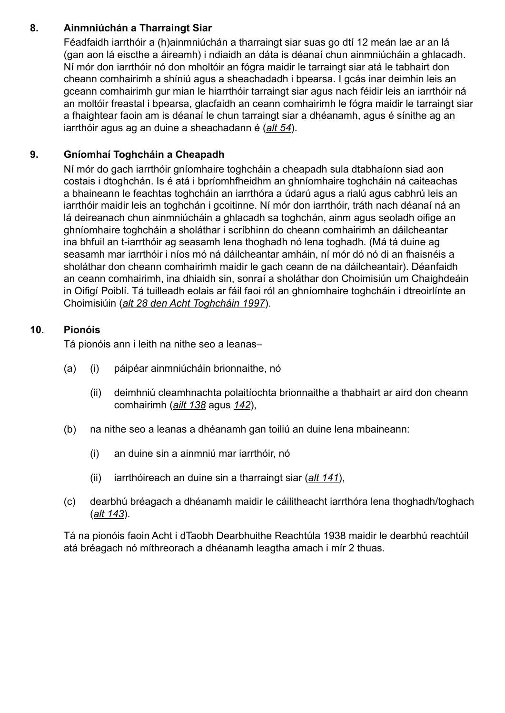### **8. Ainmniúchán a Tharraingt Siar**

Féadfaidh iarrthóir a (h)ainmniúchán a tharraingt siar suas go dtí 12 meán lae ar an lá (gan aon lá eiscthe a áireamh) i ndiaidh an dáta is déanaí chun ainmniúcháin a ghlacadh. Ní mór don iarrthóir nó don mholtóir an fógra maidir le tarraingt siar atá le tabhairt don cheann comhairimh a shíniú agus a sheachadadh i bpearsa. I gcás inar deimhin leis an gceann comhairimh gur mian le hiarrthóir tarraingt siar agus nach féidir leis an iarrthóir ná an moltóir freastal i bpearsa, glacfaidh an ceann comhairimh le fógra maidir le tarraingt siar a fhaightear faoin am is déanaí le chun tarraingt siar a dhéanamh, agus é sínithe ag an iarrthóir agus ag an duine a sheachadann é (*alt 54*).

### **9. Gníomhaí Toghcháin a Cheapadh**

Ní mór do gach iarrthóir gníomhaire toghcháin a cheapadh sula dtabhaíonn siad aon costais i dtoghchán. Is é atá i bpríomhfheidhm an ghníomhaire toghcháin ná caiteachas a bhaineann le feachtas toghcháin an iarrthóra a údarú agus a rialú agus cabhrú leis an iarrthóir maidir leis an toghchán i gcoitinne. Ní mór don iarrthóir, tráth nach déanaí ná an lá deireanach chun ainmniúcháin a ghlacadh sa toghchán, ainm agus seoladh oifige an ghníomhaire toghcháin a sholáthar i scríbhinn do cheann comhairimh an dáilcheantar ina bhfuil an t-iarrthóir ag seasamh lena thoghadh nó lena toghadh. (Má tá duine ag seasamh mar iarrthóir i níos mó ná dáilcheantar amháin, ní mór dó nó di an fhaisnéis a sholáthar don cheann comhairimh maidir le gach ceann de na dáilcheantair). Déanfaidh an ceann comhairimh, ina dhiaidh sin, sonraí a sholáthar don Choimisiún um Chaighdeáin in Oifigí Poiblí. Tá tuilleadh eolais ar fáil faoi ról an ghníomhaire toghcháin i dtreoirlínte an Choimisiúin (*alt 28 den Acht Toghcháin 1997*).

#### **10. Pionóis**

Tá pionóis ann i leith na nithe seo a leanas–

- (a) (i) páipéar ainmniúcháin brionnaithe, nó
	- (ii) deimhniú cleamhnachta polaitíochta brionnaithe a thabhairt ar aird don cheann comhairimh (*ailt 138* agus *142*),
- (b) na nithe seo a leanas a dhéanamh gan toiliú an duine lena mbaineann:
	- (i) an duine sin a ainmniú mar iarrthóir, nó
	- (ii) iarrthóireach an duine sin a tharraingt siar (*alt 141*),
- (c) dearbhú bréagach a dhéanamh maidir le cáilitheacht iarrthóra lena thoghadh/toghach (*alt 143*).

Tá na pionóis faoin Acht i dTaobh Dearbhuithe Reachtúla 1938 maidir le dearbhú reachtúil atá bréagach nó míthreorach a dhéanamh leagtha amach i mír 2 thuas.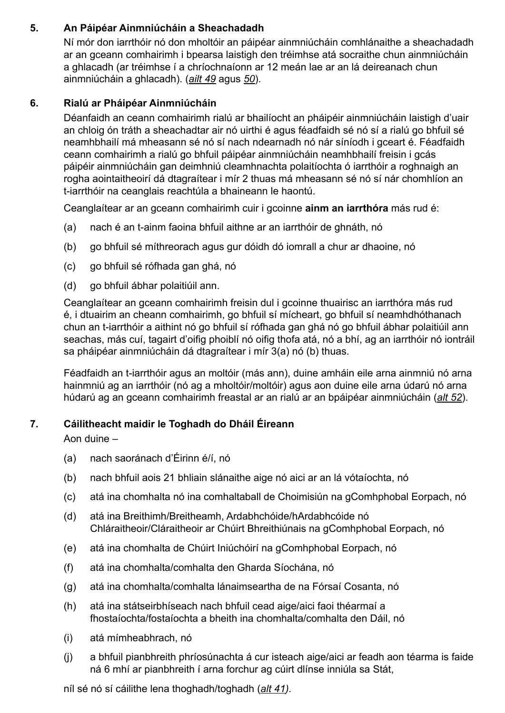### **5. An Páipéar Ainmniúcháin a Sheachadadh**

Ní mór don iarrthóir nó don mholtóir an páipéar ainmniúcháin comhlánaithe a sheachadadh ar an gceann comhairimh i bpearsa laistigh den tréimhse atá socraithe chun ainmniúcháin a ghlacadh (ar tréimhse í a chríochnaíonn ar 12 meán lae ar an lá deireanach chun ainmniúcháin a ghlacadh). (*ailt 49* agus *50*).

### **6. Rialú ar Pháipéar Ainmniúcháin**

Déanfaidh an ceann comhairimh rialú ar bhailíocht an pháipéir ainmniúcháin laistigh d'uair an chloig ón tráth a sheachadtar air nó uirthi é agus féadfaidh sé nó sí a rialú go bhfuil sé neamhbhailí má mheasann sé nó sí nach ndearnadh nó nár síníodh i gceart é. Féadfaidh ceann comhairimh a rialú go bhfuil páipéar ainmniúcháin neamhbhailí freisin i gcás páipéir ainmniúcháin gan deimhniú cleamhnachta polaitíochta ó iarrthóir a roghnaigh an rogha aointaitheoirí dá dtagraítear i mír 2 thuas má mheasann sé nó sí nár chomhlíon an t-iarrthóir na ceanglais reachtúla a bhaineann le haontú.

Ceanglaítear ar an gceann comhairimh cuir i gcoinne **ainm an iarrthóra** más rud é:

- (a) nach é an t-ainm faoina bhfuil aithne ar an iarrthóir de ghnáth, nó
- (b) go bhfuil sé míthreorach agus gur dóidh dó iomrall a chur ar dhaoine, nó
- (c) go bhfuil sé rófhada gan ghá, nó
- (d) go bhfuil ábhar polaitiúil ann.

Ceanglaítear an gceann comhairimh freisin dul i gcoinne thuairisc an iarrthóra más rud é, i dtuairim an cheann comhairimh, go bhfuil sí mícheart, go bhfuil sí neamhdhóthanach chun an t-iarrthóir a aithint nó go bhfuil sí rófhada gan ghá nó go bhfuil ábhar polaitiúil ann seachas, más cuí, tagairt d'oifig phoiblí nó oifig thofa atá, nó a bhí, ag an iarrthóir nó iontráil sa pháipéar ainmniúcháin dá dtagraítear i mír 3(a) nó (b) thuas.

Féadfaidh an t-iarrthóir agus an moltóir (más ann), duine amháin eile arna ainmniú nó arna hainmniú ag an iarrthóir (nó ag a mholtóir/moltóir) agus aon duine eile arna údarú nó arna húdarú ag an gceann comhairimh freastal ar an rialú ar an bpáipéar ainmniúcháin (*alt 52*).

# **7. Cáilitheacht maidir le Toghadh do Dháil Éireann**

Aon duine –

- (a) nach saoránach d'Éirinn é/í, nó
- (b) nach bhfuil aois 21 bhliain slánaithe aige nó aici ar an lá vótaíochta, nó
- (c) atá ina chomhalta nó ina comhaltaball de Choimisiún na gComhphobal Eorpach, nó
- (d) atá ina Breithimh/Breitheamh, Ardabhchóide/hArdabhcóide nó Chláraitheoir/Cláraitheoir ar Chúirt Bhreithiúnais na gComhphobal Eorpach, nó
- (e) atá ina chomhalta de Chúirt Iniúchóirí na gComhphobal Eorpach, nó
- (f) atá ina chomhalta/comhalta den Gharda Síochána, nó
- (g) atá ina chomhalta/comhalta lánaimseartha de na Fórsaí Cosanta, nó
- (h) atá ina státseirbhíseach nach bhfuil cead aige/aici faoi théarmaí a fhostaíochta/fostaíochta a bheith ina chomhalta/comhalta den Dáil, nó
- (i) atá mímheabhrach, nó
- (j) a bhfuil pianbhreith phríosúnachta á cur isteach aige/aici ar feadh aon téarma is faide ná 6 mhí ar pianbhreith í arna forchur ag cúirt dlínse inniúla sa Stát,

níl sé nó sí cáilithe lena thoghadh/toghadh (*alt 41).*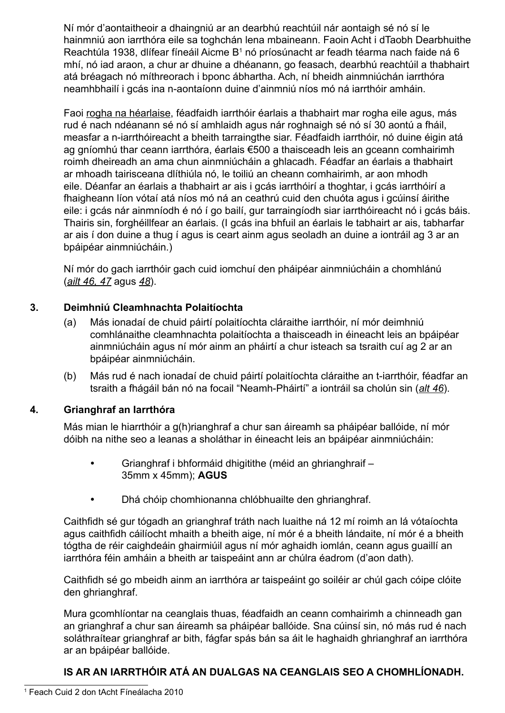Ní mór d'aontaitheoir a dhaingniú ar an dearbhú reachtúil nár aontaigh sé nó sí le hainmniú aon iarrthóra eile sa toghchán lena mbaineann. Faoin Acht i dTaobh Dearbhuithe Reachtúla 1938, dlífear fíneáil Aicme B<sup>1</sup> nó príosúnacht ar feadh téarma nach faide ná 6 mhí, nó iad araon, a chur ar dhuine a dhéanann, go feasach, dearbhú reachtúil a thabhairt atá bréagach nó míthreorach i bponc ábhartha. Ach, ní bheidh ainmniúchán iarrthóra neamhbhailí i gcás ina n-aontaíonn duine d'ainmniú níos mó ná iarrthóir amháin.

Faoi rogha na héarlaise, féadfaidh iarrthóir éarlais a thabhairt mar rogha eile agus, más rud é nach ndéanann sé nó sí amhlaidh agus nár roghnaigh sé nó sí 30 aontú a fháil, measfar a n-iarrthóireacht a bheith tarraingthe siar. Féadfaidh iarrthóir, nó duine éigin atá ag gníomhú thar ceann iarrthóra, éarlais €500 a thaisceadh leis an gceann comhairimh roimh dheireadh an ama chun ainmniúcháin a ghlacadh. Féadfar an éarlais a thabhairt ar mhoadh tairisceana dlíthiúla nó, le toiliú an cheann comhairimh, ar aon mhodh eile. Déanfar an éarlais a thabhairt ar ais i gcás iarrthóirí a thoghtar, i gcás iarrthóirí a fhaigheann líon vótaí atá níos mó ná an ceathrú cuid den chuóta agus i gcúinsí áirithe eile: i gcás nár ainmníodh é nó í go bailí, gur tarraingíodh siar iarrthóireacht nó i gcás báis. Thairis sin, forghéillfear an éarlais. (I gcás ina bhfuil an éarlais le tabhairt ar ais, tabharfar ar ais í don duine a thug í agus is ceart ainm agus seoladh an duine a iontráil ag 3 ar an bpáipéar ainmniúcháin.)

Ní mór do gach iarrthóir gach cuid iomchuí den pháipéar ainmniúcháin a chomhlánú (*ailt 46, 47* agus *48*).

### **3. Deimhniú Cleamhnachta Polaitíochta**

- (a) Más ionadaí de chuid páirtí polaitíochta cláraithe iarrthóir, ní mór deimhniú comhlánaithe cleamhnachta polaitíochta a thaisceadh in éineacht leis an bpáipéar ainmniúcháin agus ní mór ainm an pháirtí a chur isteach sa tsraith cuí ag 2 ar an bpáipéar ainmniúcháin.
- (b) Más rud é nach ionadaí de chuid páirtí polaitíochta cláraithe an t-iarrthóir, féadfar an tsraith a fhágáil bán nó na focail "Neamh-Pháirtí" a iontráil sa cholún sin (*alt 46*).

#### **4. Grianghraf an Iarrthóra**

Más mian le hiarrthóir a g(h)rianghraf a chur san áireamh sa pháipéar ballóide, ní mór dóibh na nithe seo a leanas a sholáthar in éineacht leis an bpáipéar ainmniúcháin:

- Grianghraf i bhformáid dhigitithe (méid an ghrianghraif 35mm x 45mm); **AGUS**
- Dhá chóip chomhionanna chlóbhuailte den ghrianghraf.

Caithfidh sé gur tógadh an grianghraf tráth nach luaithe ná 12 mí roimh an lá vótaíochta agus caithfidh cáilíocht mhaith a bheith aige, ní mór é a bheith lándaite, ní mór é a bheith tógtha de réir caighdeáin ghairmiúil agus ní mór aghaidh iomlán, ceann agus guaillí an iarrthóra féin amháin a bheith ar taispeáint ann ar chúlra éadrom (d'aon dath).

Caithfidh sé go mbeidh ainm an iarrthóra ar taispeáint go soiléir ar chúl gach cóipe clóite den ghrianghraf.

Mura gcomhlíontar na ceanglais thuas, féadfaidh an ceann comhairimh a chinneadh gan an grianghraf a chur san áireamh sa pháipéar ballóide. Sna cúinsí sin, nó más rud é nach soláthraítear grianghraf ar bith, fágfar spás bán sa áit le haghaidh ghrianghraf an iarrthóra ar an bpáipéar ballóide.

# **IS AR AN IARRTHÓIR ATÁ AN DUALGAS NA CEANGLAIS SEO A CHOMHLÍONADH.**

<sup>1</sup> Feach Cuid 2 don tAcht Fíneálacha 2010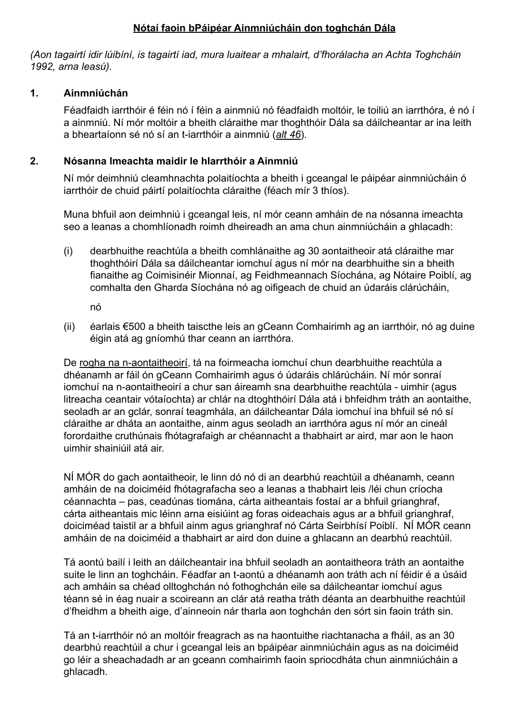### **Nótaí faoin bPáipéar Ainmniúcháin don toghchán Dála**

*(Aon tagairtí idir lúibíní, is tagairtí iad, mura luaitear a mhalairt, d'fhorálacha an Achta Toghcháin 1992, arna leasú).*

#### **1. Ainmniúchán**

Féadfaidh iarrthóir é féin nó í féin a ainmniú nó féadfaidh moltóir, le toiliú an iarrthóra, é nó í a ainmniú. Ní mór moltóir a bheith cláraithe mar thoghthóir Dála sa dáilcheantar ar ina leith a bheartaíonn sé nó sí an t-iarrthóir a ainmniú (*alt 46*).

### **2. Nósanna Imeachta maidir le hIarrthóir a Ainmniú**

Ní mór deimhniú cleamhnachta polaitíochta a bheith i gceangal le páipéar ainmniúcháin ó iarrthóir de chuid páirtí polaitíochta cláraithe (féach mír 3 thíos).

Muna bhfuil aon deimhniú i gceangal leis, ní mór ceann amháin de na nósanna imeachta seo a leanas a chomhlíonadh roimh dheireadh an ama chun ainmniúcháin a ghlacadh:

(i) dearbhuithe reachtúla a bheith comhlánaithe ag 30 aontaitheoir atá cláraithe mar thoghthóirí Dála sa dáilcheantar iomchuí agus ní mór na dearbhuithe sin a bheith fianaithe ag Coimisinéir Mionnaí, ag Feidhmeannach Síochána, ag Nótaire Poiblí, ag comhalta den Gharda Síochána nó ag oifigeach de chuid an údaráis clárúcháin,

nó

(ii) éarlais €500 a bheith taiscthe leis an gCeann Comhairimh ag an iarrthóir, nó ag duine éigin atá ag gníomhú thar ceann an iarrthóra.

De rogha na n-aontaitheoirí, tá na foirmeacha iomchuí chun dearbhuithe reachtúla a dhéanamh ar fáil ón gCeann Comhairimh agus ó údaráis chlárúcháin. Ní mór sonraí iomchuí na n-aontaitheoirí a chur san áireamh sna dearbhuithe reachtúla - uimhir (agus litreacha ceantair vótaíochta) ar chlár na dtoghthóirí Dála atá i bhfeidhm tráth an aontaithe, seoladh ar an gclár, sonraí teagmhála, an dáilcheantar Dála iomchuí ina bhfuil sé nó sí cláraithe ar dháta an aontaithe, ainm agus seoladh an iarrthóra agus ní mór an cineál forordaithe cruthúnais fhótagrafaigh ar chéannacht a thabhairt ar aird, mar aon le haon uimhir shainiúil atá air.

NÍ MÓR do gach aontaitheoir, le linn dó nó di an dearbhú reachtúil a dhéanamh, ceann amháin de na doiciméid fhótagrafacha seo a leanas a thabhairt leis /léi chun críocha céannachta – pas, ceadúnas tiomána, cárta aitheantais fostaí ar a bhfuil grianghraf, cárta aitheantais mic léinn arna eisiúint ag foras oideachais agus ar a bhfuil grianghraf, doiciméad taistil ar a bhfuil ainm agus grianghraf nó Cárta Seirbhísí Poiblí. NÍ MÓR ceann amháin de na doiciméid a thabhairt ar aird don duine a ghlacann an dearbhú reachtúil.

Tá aontú bailí i leith an dáilcheantair ina bhfuil seoladh an aontaitheora tráth an aontaithe suite le linn an toghcháin. Féadfar an t-aontú a dhéanamh aon tráth ach ní féidir é a úsáid ach amháin sa chéad olltoghchán nó fothoghchán eile sa dáilcheantar iomchuí agus téann sé in éag nuair a scoireann an clár atá reatha tráth déanta an dearbhuithe reachtúil d'fheidhm a bheith aige, d'ainneoin nár tharla aon toghchán den sórt sin faoin tráth sin.

Tá an t-iarrthóir nó an moltóir freagrach as na haontuithe riachtanacha a fháil, as an 30 dearbhú reachtúil a chur i gceangal leis an bpáipéar ainmniúcháin agus as na doiciméid go léir a sheachadadh ar an gceann comhairimh faoin spriocdháta chun ainmniúcháin a ghlacadh.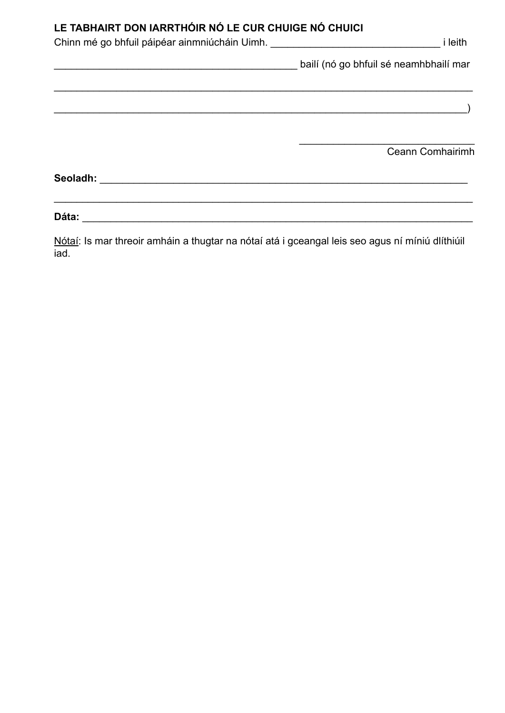# LE TABHAIRT DON IARRTHÓIR NÓ LE CUR CHUIGE NÓ CHUICI

| Chinn mé go bhfuil páipéar ainmniúcháin Uimh. __________________________________ | <i>i</i> leith                         |
|----------------------------------------------------------------------------------|----------------------------------------|
|                                                                                  | bailí (nó go bhfuil sé neamhbhailí mar |
|                                                                                  |                                        |
|                                                                                  |                                        |
|                                                                                  |                                        |
|                                                                                  | Ceann Comhairimh                       |
|                                                                                  |                                        |
|                                                                                  |                                        |
| Dáta:                                                                            |                                        |

Nótaí: Is mar threoir amháin a thugtar na nótaí atá i gceangal leis seo agus ní míniú dlíthiúil iad.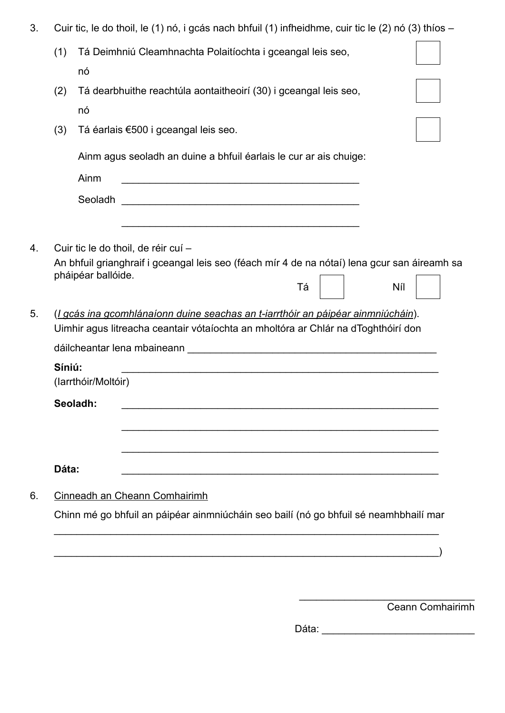| 3. |        | Cuir tic, le do thoil, le (1) nó, i gcás nach bhfuil (1) infheidhme, cuir tic le (2) nó (3) thíos -                                                                                                                                  |
|----|--------|--------------------------------------------------------------------------------------------------------------------------------------------------------------------------------------------------------------------------------------|
|    | (1)    | Tá Deimhniú Cleamhnachta Polaitíochta i gceangal leis seo,                                                                                                                                                                           |
|    |        | nó                                                                                                                                                                                                                                   |
|    | (2)    | Tá dearbhuithe reachtúla aontaitheoirí (30) i gceangal leis seo,                                                                                                                                                                     |
|    |        | nó                                                                                                                                                                                                                                   |
|    | (3)    | Tá éarlais €500 i gceangal leis seo.                                                                                                                                                                                                 |
|    |        | Ainm agus seoladh an duine a bhfuil éarlais le cur ar ais chuige:                                                                                                                                                                    |
|    |        | Ainm<br><u> 1989 - Johann Stoff, deutscher Stoff, der Stoff, der Stoff, der Stoff, der Stoff, der Stoff, der Stoff, der S</u>                                                                                                        |
|    |        | Seoladh<br><u> 1989 - Jan Barbara, prima de la provincia de la provincia de la provincia de la provincia de la provincia de</u>                                                                                                      |
|    |        | <u> 1989 - Johann Stein, Amerikaansk politiker (* 1989)</u>                                                                                                                                                                          |
| 5. |        | pháipéar ballóide.<br>Tá<br>Níl<br>(I gcás ina gcomhlánaíonn duine seachas an t-iarrthóir an páipéar ainmniúcháin).<br>Uimhir agus litreacha ceantair vótaíochta an mholtóra ar Chlár na dToghthóirí don                             |
|    |        | dáilcheantar lena mbaineann <b>chuid an chuid an chuid an chuid an chuid an chuid an chuid an chuid an chuid an chuid an chuid an chuid an chuid an chuid an chuid an chuid an chuid an chuid an chuid an chuid an chuid an chui</b> |
|    | Síniú: | (larrthóir/Moltóir)                                                                                                                                                                                                                  |
|    |        | Seoladh:                                                                                                                                                                                                                             |
|    |        |                                                                                                                                                                                                                                      |
|    |        |                                                                                                                                                                                                                                      |
|    | Dáta:  |                                                                                                                                                                                                                                      |
| 6. |        | Cinneadh an Cheann Comhairimh                                                                                                                                                                                                        |
|    |        | Chinn mé go bhfuil an páipéar ainmniúcháin seo bailí (nó go bhfuil sé neamhbhailí mar                                                                                                                                                |
|    |        |                                                                                                                                                                                                                                      |

 $\hspace{.5cm}\longrightarrow$ 

Ceann Comhairimh

Dáta: \_\_\_\_\_\_\_\_\_\_\_\_\_\_\_\_\_\_\_\_\_\_\_\_\_\_\_

\_\_\_\_\_\_\_\_\_\_\_\_\_\_\_\_\_\_\_\_\_\_\_\_\_\_\_\_\_\_\_